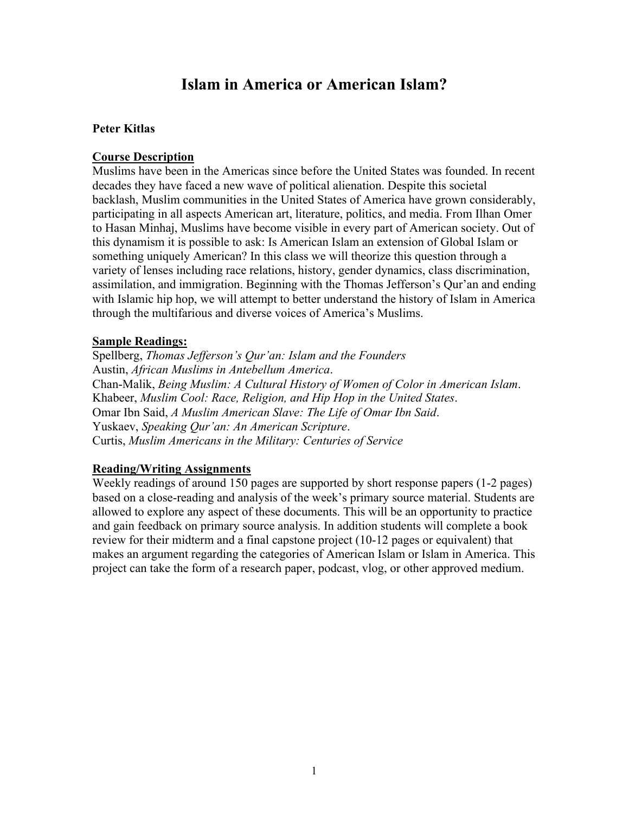# **Islam in America or American Islam?**

## **Peter Kitlas**

## **Course Description**

Muslims have been in the Americas since before the United States was founded. In recent decades they have faced a new wave of political alienation. Despite this societal backlash, Muslim communities in the United States of America have grown considerably, participating in all aspects American art, literature, politics, and media. From Ilhan Omer to Hasan Minhaj, Muslims have become visible in every part of American society. Out of this dynamism it is possible to ask: Is American Islam an extension of Global Islam or something uniquely American? In this class we will theorize this question through a variety of lenses including race relations, history, gender dynamics, class discrimination, assimilation, and immigration. Beginning with the Thomas Jefferson's Qur'an and ending with Islamic hip hop, we will attempt to better understand the history of Islam in America through the multifarious and diverse voices of America's Muslims.

## **Sample Readings:**

Spellberg, *Thomas Jefferson's Qur'an: Islam and the Founders* Austin, *African Muslims in Antebellum America*. Chan-Malik, *Being Muslim: A Cultural History of Women of Color in American Islam*. Khabeer, *Muslim Cool: Race, Religion, and Hip Hop in the United States*. Omar Ibn Said, *A Muslim American Slave: The Life of Omar Ibn Said*. Yuskaev, *Speaking Qur'an: An American Scripture*. Curtis, *Muslim Americans in the Military: Centuries of Service*

# **Reading/Writing Assignments**

Weekly readings of around 150 pages are supported by short response papers (1-2 pages) based on a close-reading and analysis of the week's primary source material. Students are allowed to explore any aspect of these documents. This will be an opportunity to practice and gain feedback on primary source analysis. In addition students will complete a book review for their midterm and a final capstone project (10-12 pages or equivalent) that makes an argument regarding the categories of American Islam or Islam in America. This project can take the form of a research paper, podcast, vlog, or other approved medium.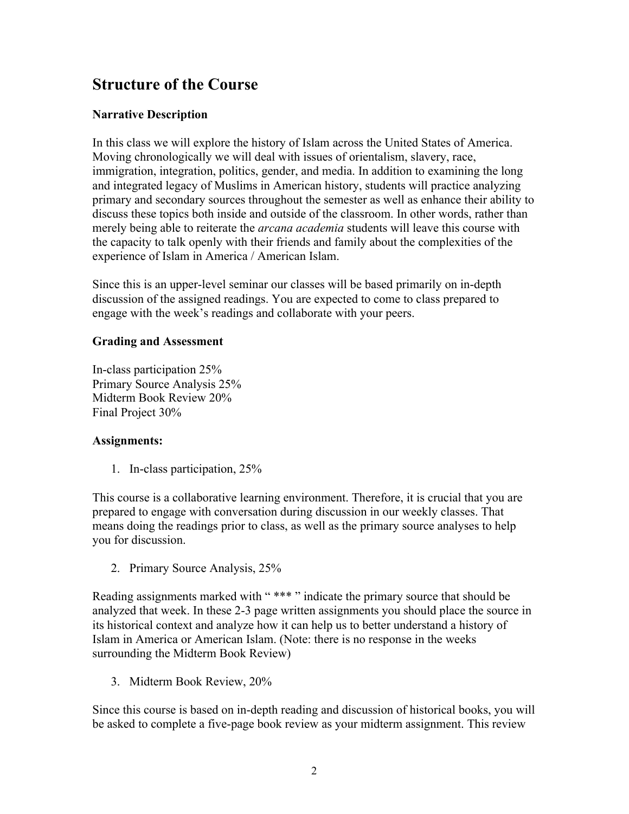# **Structure of the Course**

# **Narrative Description**

In this class we will explore the history of Islam across the United States of America. Moving chronologically we will deal with issues of orientalism, slavery, race, immigration, integration, politics, gender, and media. In addition to examining the long and integrated legacy of Muslims in American history, students will practice analyzing primary and secondary sources throughout the semester as well as enhance their ability to discuss these topics both inside and outside of the classroom. In other words, rather than merely being able to reiterate the *arcana academia* students will leave this course with the capacity to talk openly with their friends and family about the complexities of the experience of Islam in America / American Islam.

Since this is an upper-level seminar our classes will be based primarily on in-depth discussion of the assigned readings. You are expected to come to class prepared to engage with the week's readings and collaborate with your peers.

# **Grading and Assessment**

In-class participation 25% Primary Source Analysis 25% Midterm Book Review 20% Final Project 30%

# **Assignments:**

1. In-class participation, 25%

This course is a collaborative learning environment. Therefore, it is crucial that you are prepared to engage with conversation during discussion in our weekly classes. That means doing the readings prior to class, as well as the primary source analyses to help you for discussion.

2. Primary Source Analysis, 25%

Reading assignments marked with " \*\*\* " indicate the primary source that should be analyzed that week. In these 2-3 page written assignments you should place the source in its historical context and analyze how it can help us to better understand a history of Islam in America or American Islam. (Note: there is no response in the weeks surrounding the Midterm Book Review)

3. Midterm Book Review, 20%

Since this course is based on in-depth reading and discussion of historical books, you will be asked to complete a five-page book review as your midterm assignment. This review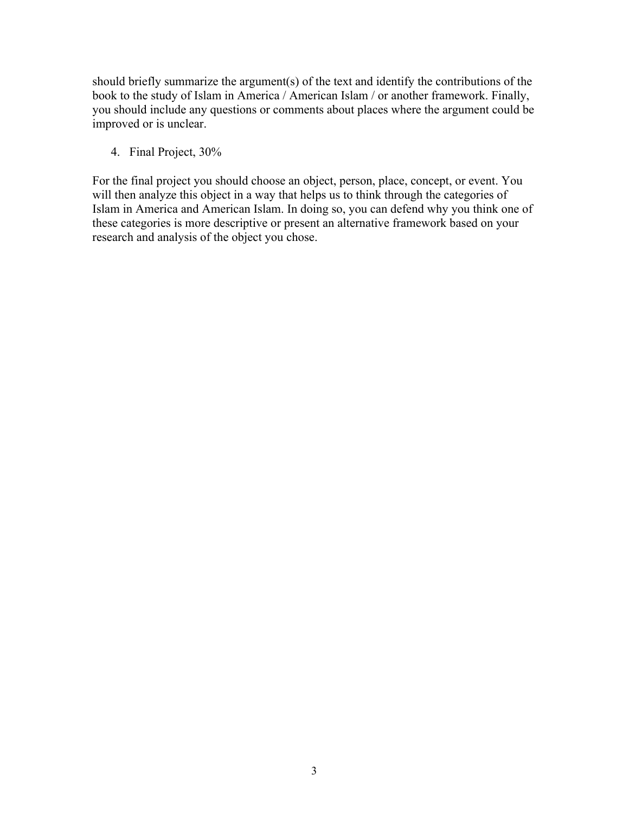should briefly summarize the argument(s) of the text and identify the contributions of the book to the study of Islam in America / American Islam / or another framework. Finally, you should include any questions or comments about places where the argument could be improved or is unclear.

4. Final Project, 30%

For the final project you should choose an object, person, place, concept, or event. You will then analyze this object in a way that helps us to think through the categories of Islam in America and American Islam. In doing so, you can defend why you think one of these categories is more descriptive or present an alternative framework based on your research and analysis of the object you chose.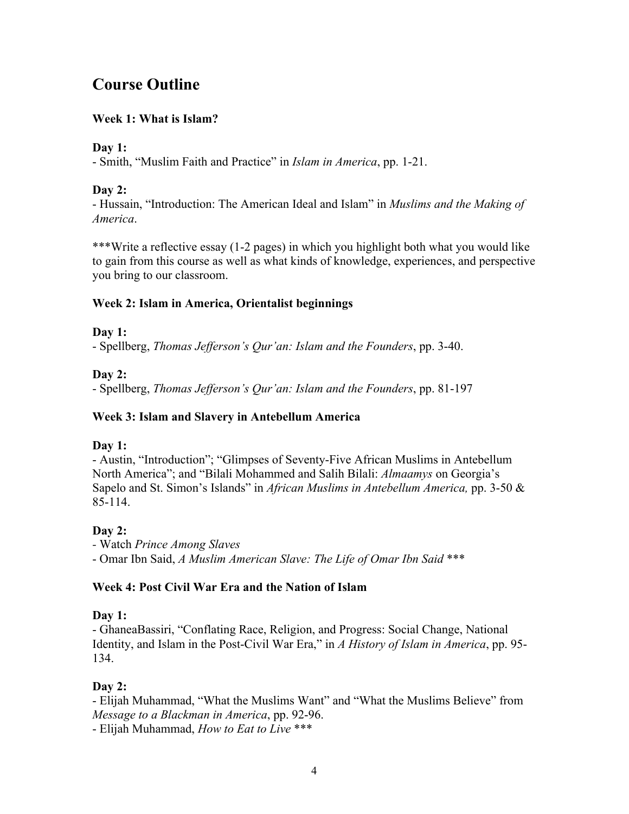# **Course Outline**

# **Week 1: What is Islam?**

# **Day 1:**

- Smith, "Muslim Faith and Practice" in *Islam in America*, pp. 1-21.

# **Day 2:**

- Hussain, "Introduction: The American Ideal and Islam" in *Muslims and the Making of America*.

\*\*\*Write a reflective essay (1-2 pages) in which you highlight both what you would like to gain from this course as well as what kinds of knowledge, experiences, and perspective you bring to our classroom.

# **Week 2: Islam in America, Orientalist beginnings**

# **Day 1:**

- Spellberg, *Thomas Jefferson's Qur'an: Islam and the Founders*, pp. 3-40.

# **Day 2:**

- Spellberg, *Thomas Jefferson's Qur'an: Islam and the Founders*, pp. 81-197

# **Week 3: Islam and Slavery in Antebellum America**

# **Day 1:**

- Austin, "Introduction"; "Glimpses of Seventy-Five African Muslims in Antebellum North America"; and "Bilali Mohammed and Salih Bilali: *Almaamys* on Georgia's Sapelo and St. Simon's Islands" in *African Muslims in Antebellum America,* pp. 3-50 & 85-114.

# **Day 2:**

*-* Watch *Prince Among Slaves* - Omar Ibn Said, *A Muslim American Slave: The Life of Omar Ibn Said* \*\*\*

# **Week 4: Post Civil War Era and the Nation of Islam**

# **Day 1:**

- GhaneaBassiri, "Conflating Race, Religion, and Progress: Social Change, National Identity, and Islam in the Post-Civil War Era," in *A History of Islam in America*, pp. 95- 134.

# **Day 2:**

- Elijah Muhammad, "What the Muslims Want" and "What the Muslims Believe" from *Message to a Blackman in America*, pp. 92-96.

- Elijah Muhammad, *How to Eat to Live* \*\*\*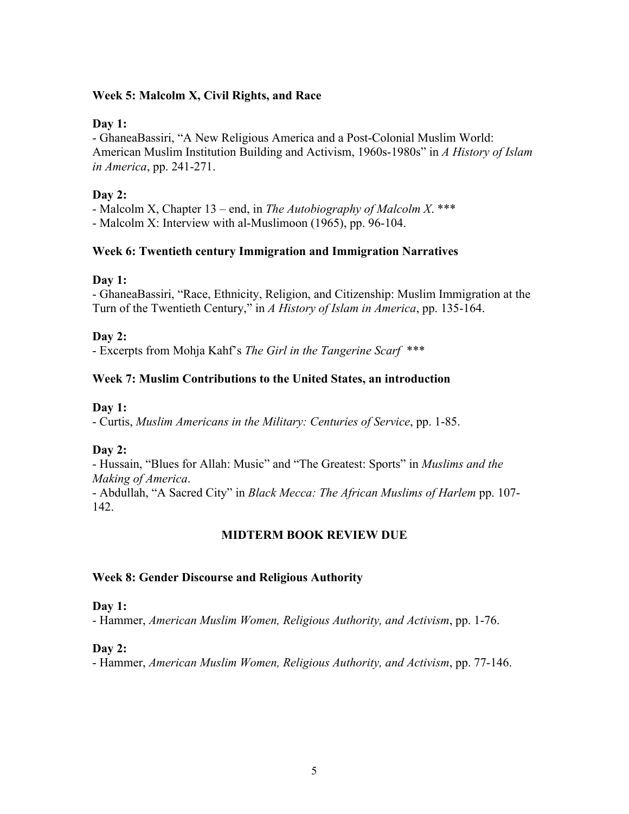#### **Week 5: Malcolm X, Civil Rights, and Race**

#### **Day 1:**

- GhaneaBassiri, "A New Religious America and a Post-Colonial Muslim World: American Muslim Institution Building and Activism, 1960s-1980s" in *A History of Islam in America*, pp. 241-271.

## **Day 2:**

- Malcolm X, Chapter 13 – end, in *The Autobiography of Malcolm X*. \*\*\* - Malcolm X: Interview with al-Muslimoon (1965), pp. 96-104.

## **Week 6: Twentieth century Immigration and Immigration Narratives**

## **Day 1:**

- GhaneaBassiri, "Race, Ethnicity, Religion, and Citizenship: Muslim Immigration at the Turn of the Twentieth Century," in *A History of Islam in America*, pp. 135-164.

**Day 2:**

- Excerpts from Mohja Kahf's *The Girl in the Tangerine Scarf* \*\*\*

# **Week 7: Muslim Contributions to the United States, an introduction**

## **Day 1:**

- Curtis, *Muslim Americans in the Military: Centuries of Service*, pp. 1-85.

# **Day 2:**

- Hussain, "Blues for Allah: Music" and "The Greatest: Sports" in *Muslims and the Making of America*.

- Abdullah, "A Sacred City" in *Black Mecca: The African Muslims of Harlem* pp. 107- 142.

# **MIDTERM BOOK REVIEW DUE**

#### **Week 8: Gender Discourse and Religious Authority**

#### **Day 1:**

- Hammer, *American Muslim Women, Religious Authority, and Activism*, pp. 1-76.

#### **Day 2:**

- Hammer, *American Muslim Women, Religious Authority, and Activism*, pp. 77-146.